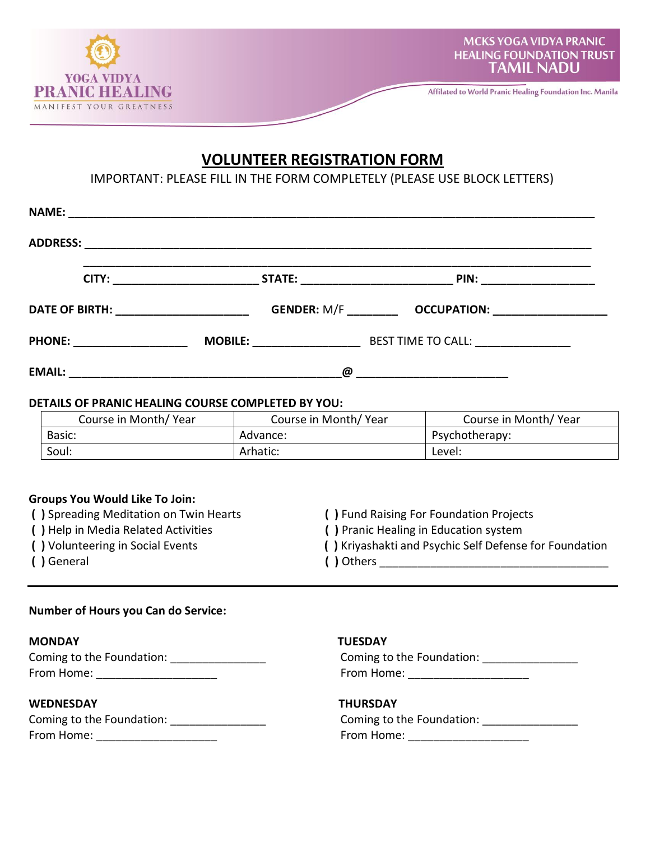

# **VOLUNTEER REGISTRATION FORM**

IMPORTANT: PLEASE FILL IN THE FORM COMPLETELY (PLEASE USE BLOCK LETTERS)

| DETAILS OF PRANIC HEALING COURSE COMPLETED BY YOU: |                                             |                          |
|----------------------------------------------------|---------------------------------------------|--------------------------|
|                                                    | Course in Month/Year   Course in Month/Year | Course in Month/ Year    |
| Basic:                                             | Advance:                                    | Psychotherapy:           |
| Soul:                                              | Arhatic:                                    | Level: <b>Accelerate</b> |

## **Groups You Would Like To Join:**

- 
- 
- 
- **( )** General **( )** Others \_\_\_\_\_\_\_\_\_\_\_\_\_\_\_\_\_\_\_\_\_\_\_\_\_\_\_\_\_\_\_\_\_\_\_\_
- **( )** Spreading Meditation on Twin Hearts **( )** Fund Raising For Foundation Projects
- **( )** Help in Media Related Activities **( )** Pranic Healing in Education system
- **( )** Volunteering in Social Events **( )** Kriyashakti and Psychic Self Defense for Foundation
	-

### **Number of Hours you Can do Service:**

### **MONDAY TUESDAY**

| Coming to the Foundation: | Coming to the Foundation: |
|---------------------------|---------------------------|
| From Home:                | From Home:                |

### **WEDNESDAY THURSDAY**

| Coming to the Foundation: | Coming to the Foundation: |
|---------------------------|---------------------------|
| From Home:                | From Home:                |

| Coming to the Foundation: | Coming to the Foundation: |
|---------------------------|---------------------------|
| From Home:                | From Home:                |

| Coming to the Foundation: |  |
|---------------------------|--|
| From Home:                |  |